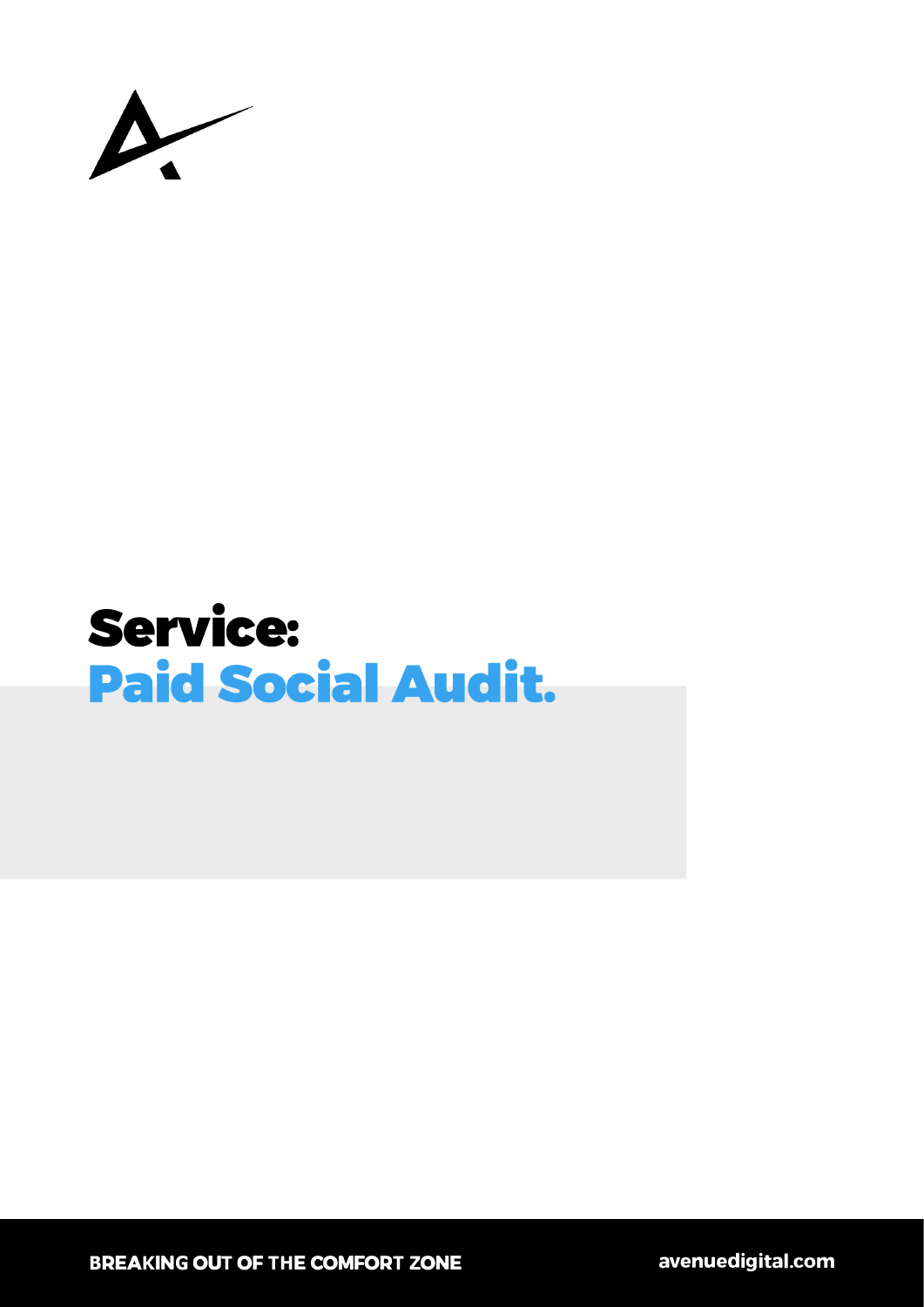

# Service: Paid Social Audit.

**BREAKING OUT OF THE COMFORT ZONE**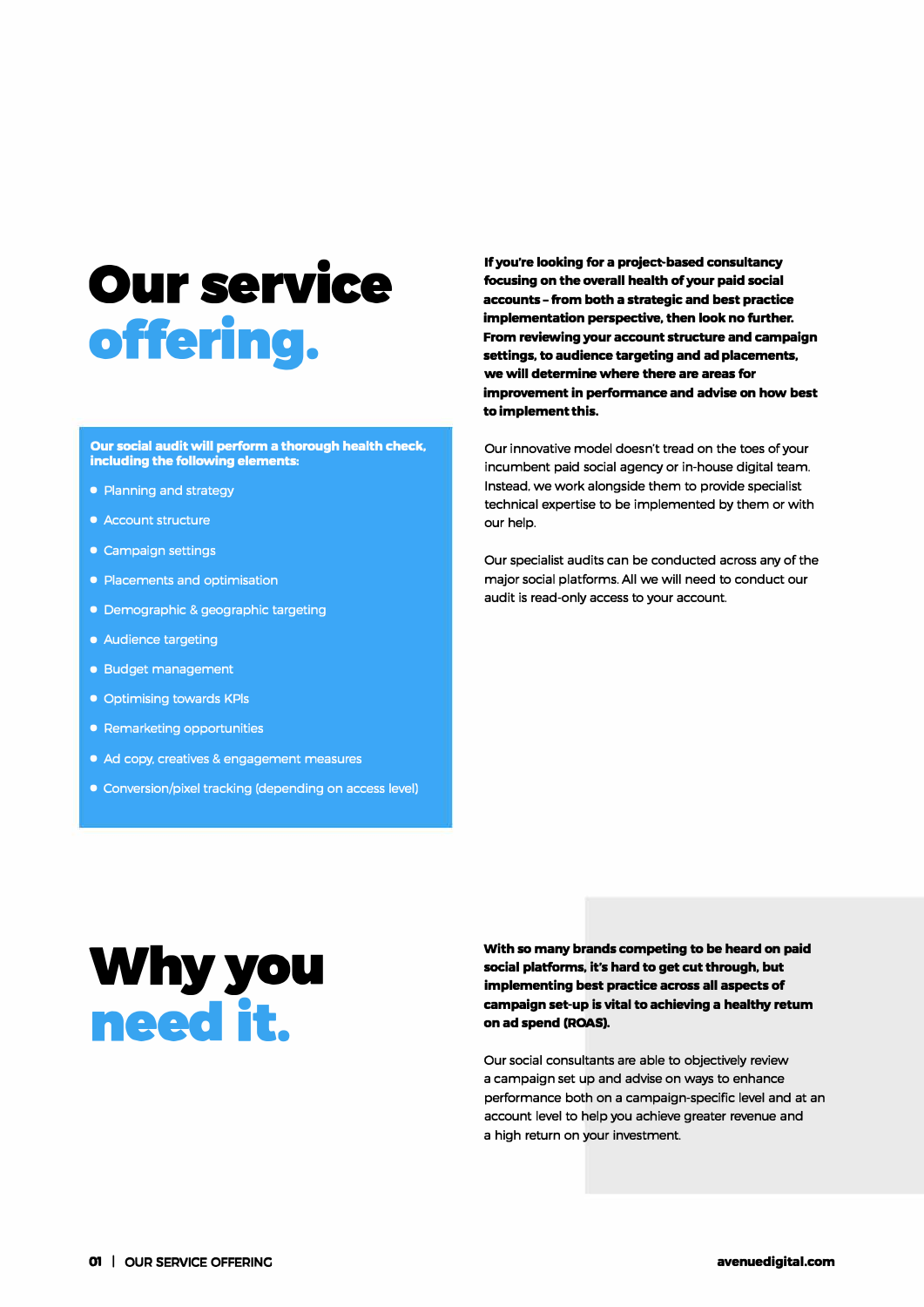## **Our service offering.**

**Our social audit will perform a thorough health check, including the following elements:** 

- Planning and strategy
- Account structure
- Campaign settings
- Placements and optimisation
- Demographic & geographic targeting
- Audience targeting
- Budget management
- Optimising towards KPls
- Remarketing opportunities
- Ad copy, creatives & engagement measures
- Conversion/pixel tracking (depending on access level)

**If you're looking for a project-based consultancy**  focusing on the overall health of your paid social **accounts - from both a strategic and best practice implementation perspective, then look no further. From reviewing your account structure and campaign settings, to audience targeting and adplacements, we will determine where there are areas for improvement in performance and advise on how best to implement this.** 

Our innovative model doesn't tread on the toes of your incumbent paid social agency or in-house digital team. Instead. we work alongside them to provide specialist technical expertise to be implemented by them or with our help.

Our specialist audits can be conducted across any of the major social platforms. All we will need to conduct our audit is read-only access to your account.

### **Why you need it.**

**With so many brands competing to be heard on paid social platforms, it's hard to get cut through, but implementing best practice across all aspects of campaign set-up is vital to achieving a healthy retum on ad spend (ROAS).** 

Our social consultants are able to objectively review a campaign set up and advise on ways to enhance performance both on a campaign-specific level and at an account level to help you achieve greater revenue and a high return on your investment.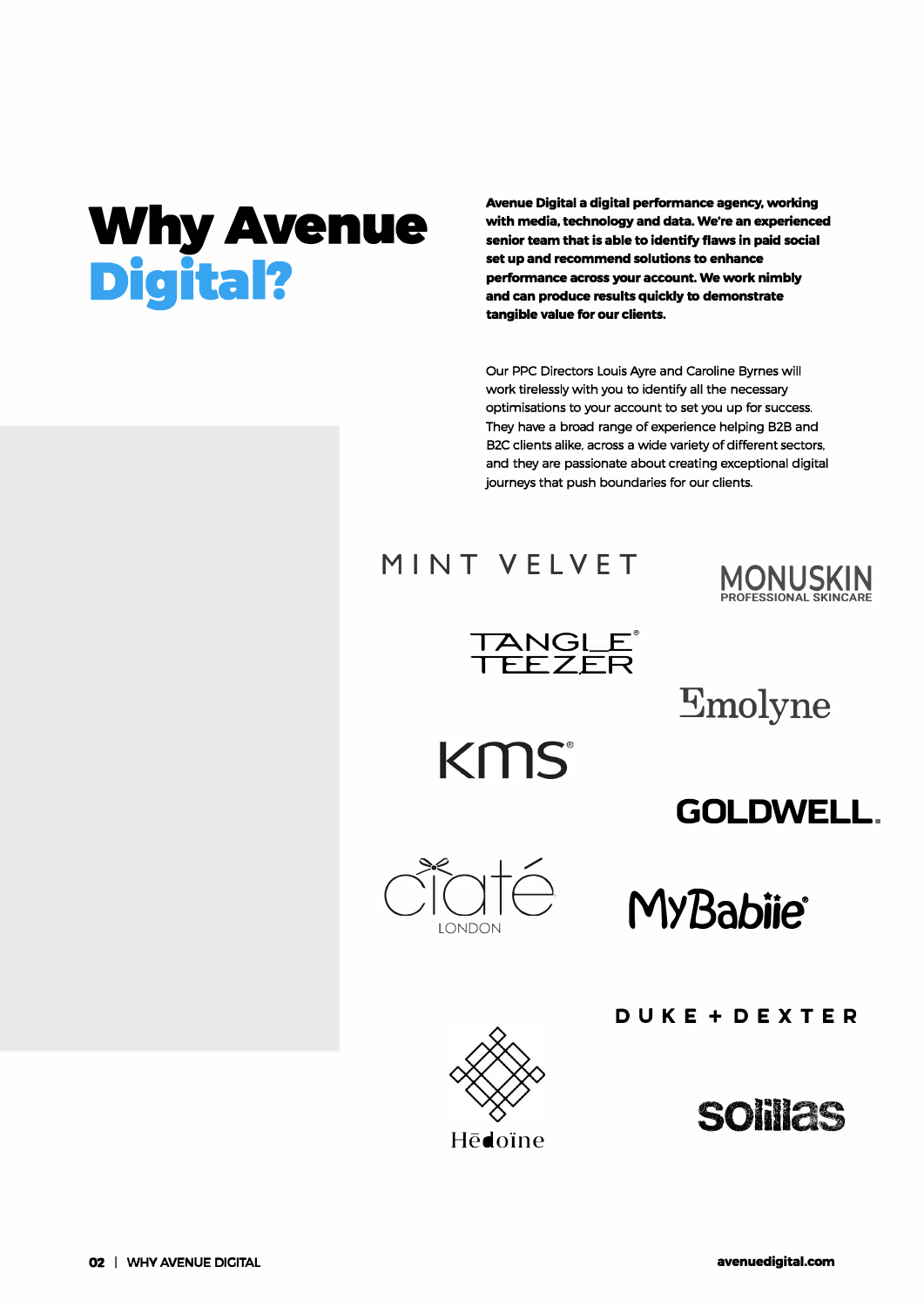# **Why Avenue Digital?**

**Avenue Digital a digital performance agency, working with media, technology and data. We're an experienced senior team that is able to identify flaws in paid social set up and recommend solutions to enhance performance across your account. We work nimbly and can produce results quickly to demonstrate tangible value for our clients.** 

Our PPC Directors Louis Ayre and Caroline Byrnes will work tirelessly with you to identify all the necessary optimisations to your account to set you up for success. They have a broad range of experience helping 828 and B2C clients alike. across a wide variety of different sectors. and they are passionate about creating exceptional digital journeys that push boundaries for our clients.

KMS



TANGLE **TEEZER ®** 

**Emolyne** 

**GOLDWELL.** 



LONDON **MYBabiie®** 

**DUKE+DEXTER** 





Hēdoine

02 | WHY AVENUE DICITAL